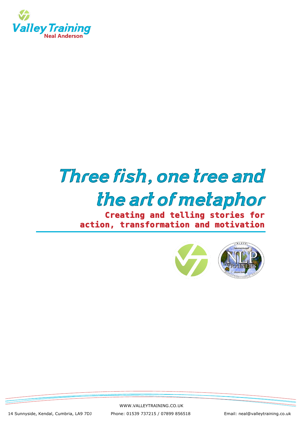

# *Three fish, one tree and the art of metaphor*

**Creating and telling stories for action, transformation and motivation** 



WWW.VALLEYTRAINING.CO.UK

14 Sunnyside, Kendal, Cumbria, LA9 7DJ Phone: 01539 737215 / 07899 856518 Email: neal@valleytraining.co.uk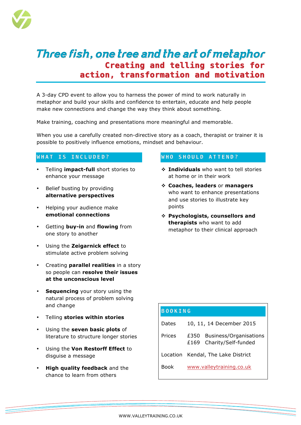

### *Three fish, one tree and the art of metaphor* **Creating and telling stories for action, transformation and motivation**

A 3-day CPD event to allow you to harness the power of mind to work naturally in metaphor and build your skills and confidence to entertain, educate and help people make new connections and change the way they think about something.

Make training, coaching and presentations more meaningful and memorable.

When you use a carefully created non-directive story as a coach, therapist or trainer it is possible to positively influence emotions, mindset and behaviour.

#### **WHAT IS INCLUDED?**

- Telling **impact-full** short stories to enhance your message
- Belief busting by providing **alternative perspectives**
- Helping your audience make **emotional connections**
- Getting **buy-in** and **flowing** from one story to another
- Using the **Zeigarnick effect** to stimulate active problem solving
- Creating **parallel realities** in a story so people can **resolve their issues at the unconscious level**
- **Sequencing** your story using the natural process of problem solving and change
- Telling **stories within stories**
- Using the **seven basic plots** of literature to structure longer stories
- Using the **Von Restorff Effect** to disguise a message
- **High quality feedback** and the chance to learn from others

#### WHO SHOULD ATTEND?

- ! **Individuals** who want to tell stories at home or in their work
- ! **Coaches, leaders** or **managers** who want to enhance presentations and use stories to illustrate key points
- ! **Psychologists, counsellors and therapists** who want to add metaphor to their clinical approach

| <b>BOOKING</b> |                                                               |
|----------------|---------------------------------------------------------------|
| Dates          | 10, 11, 14 December 2015                                      |
| Prices         | Business/Organisations<br>£350<br>Charity/Self-funded<br>£169 |
| Location       | Kendal, The Lake District                                     |
| Book           | www.valleytraining.co.uk                                      |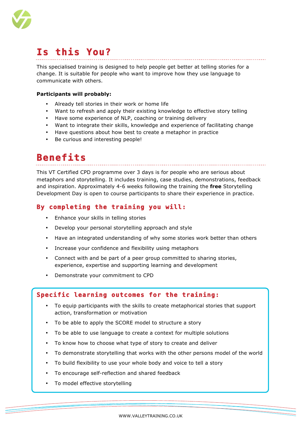

# **Is this You?**

This specialised training is designed to help people get better at telling stories for a change. It is suitable for people who want to improve how they use language to communicate with others.

#### **Participants will probably:**

- Already tell stories in their work or home life
- Want to refresh and apply their existing knowledge to effective story telling
- Have some experience of NLP, coaching or training delivery
- Want to integrate their skills, knowledge and experience of facilitating change
- Have questions about how best to create a metaphor in practice
- Be curious and interesting people!

### **Benefits**

This VT Certified CPD programme over 3 days is for people who are serious about metaphors and storytelling. It includes training, case studies, demonstrations, feedback and inspiration. Approximately 4-6 weeks following the training the **free** Storytelling Development Day is open to course participants to share their experience in practice.

#### **By completing the training you will:**

- Enhance your skills in telling stories
- Develop your personal storytelling approach and style
- Have an integrated understanding of why some stories work better than others
- Increase your confidence and flexibility using metaphors
- Connect with and be part of a peer group committed to sharing stories, experience, expertise and supporting learning and development
- Demonstrate your commitment to CPD

#### **Specific learning outcomes for the training:**

- To equip participants with the skills to create metaphorical stories that support action, transformation or motivation
- To be able to apply the SCORE model to structure a story
- To be able to use language to create a context for multiple solutions
- To know how to choose what type of story to create and deliver
- To demonstrate storytelling that works with the other persons model of the world
- To build flexibility to use your whole body and voice to tell a story
- To encourage self-reflection and shared feedback
- To model effective storytelling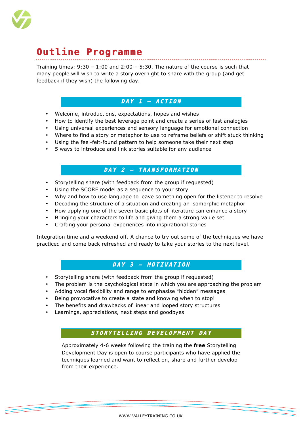

## **Outline Programme**

Training times: 9:30 – 1:00 and 2:00 – 5:30. The nature of the course is such that many people will wish to write a story overnight to share with the group (and get feedback if they wish) the following day.

#### **DAY 1 – ACTION**

- Welcome, introductions, expectations, hopes and wishes
- How to identify the best leverage point and create a series of fast analogies
- Using universal experiences and sensory language for emotional connection
- Where to find a story or metaphor to use to reframe beliefs or shift stuck thinking
- Using the feel-felt-found pattern to help someone take their next step
- 5 ways to introduce and link stories suitable for any audience

#### **DAY 2 – TRANSFORMA TION**

- Storytelling share (with feedback from the group if requested)
- Using the SCORE model as a sequence to your story
- Why and how to use language to leave something open for the listener to resolve
- Decoding the structure of a situation and creating an isomorphic metaphor
- How applying one of the seven basic plots of literature can enhance a story
- Bringing your characters to life and giving them a strong value set
- Crafting your personal experiences into inspirational stories

Integration time and a weekend off. A chance to try out some of the techniques we have practiced and come back refreshed and ready to take your stories to the next level.

#### **DAY 3 – MOTIVATION**

- Storytelling share (with feedback from the group if requested)
- The problem is the psychological state in which you are approaching the problem
- Adding vocal flexibility and range to emphasise "hidden" messages
- Being provocative to create a state and knowing when to stop!
- The benefits and drawbacks of linear and looped story structures
- Learnings, appreciations, next steps and goodbyes

#### **STORYTELLING DEVELOPMENT DAY**

Approximately 4-6 weeks following the training the **free** Storytelling Development Day is open to course participants who have applied the techniques learned and want to reflect on, share and further develop from their experience.